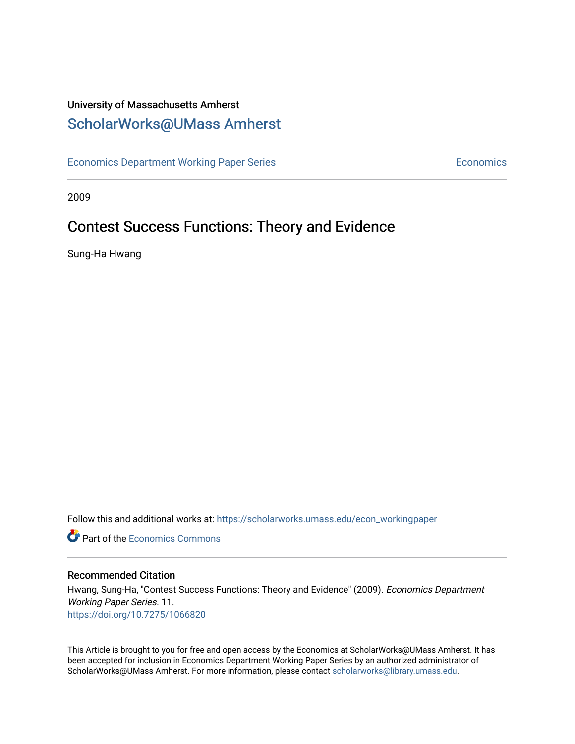## University of Massachusetts Amherst [ScholarWorks@UMass Amherst](https://scholarworks.umass.edu/)

[Economics Department Working Paper Series](https://scholarworks.umass.edu/econ_workingpaper) **Economics** Economics

2009

## Contest Success Functions: Theory and Evidence

Sung-Ha Hwang

Follow this and additional works at: [https://scholarworks.umass.edu/econ\\_workingpaper](https://scholarworks.umass.edu/econ_workingpaper?utm_source=scholarworks.umass.edu%2Fecon_workingpaper%2F11&utm_medium=PDF&utm_campaign=PDFCoverPages) 

**C** Part of the [Economics Commons](http://network.bepress.com/hgg/discipline/340?utm_source=scholarworks.umass.edu%2Fecon_workingpaper%2F11&utm_medium=PDF&utm_campaign=PDFCoverPages)

#### Recommended Citation

Hwang, Sung-Ha, "Contest Success Functions: Theory and Evidence" (2009). Economics Department Working Paper Series. 11. <https://doi.org/10.7275/1066820>

This Article is brought to you for free and open access by the Economics at ScholarWorks@UMass Amherst. It has been accepted for inclusion in Economics Department Working Paper Series by an authorized administrator of ScholarWorks@UMass Amherst. For more information, please contact [scholarworks@library.umass.edu.](mailto:scholarworks@library.umass.edu)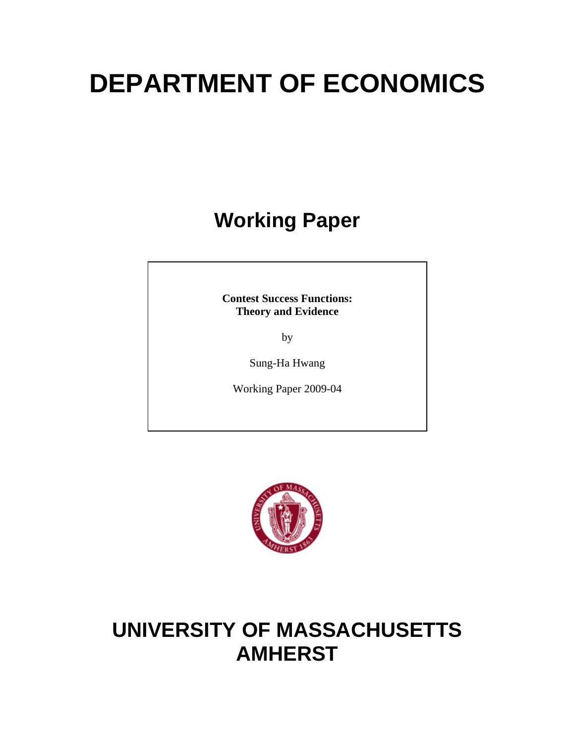# **DEPARTMENT OF ECONOMICS**

## **Working Paper**

**Contest Success Functions: Theory and Evidence** 

by

Sung-Ha Hwang

Working Paper 2009-04



## **UNIVERSITY OF MASSACHUSETTS AMHERST**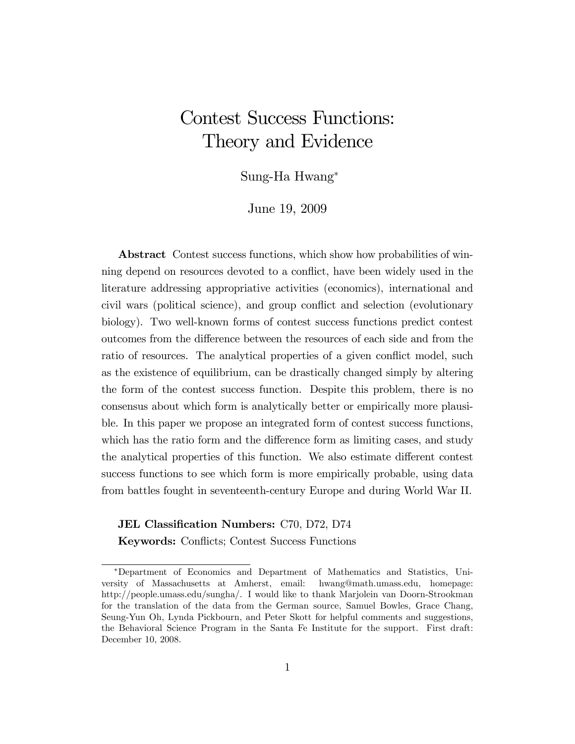## Contest Success Functions: Theory and Evidence

Sung-Ha Hwang

June 19, 2009

Abstract Contest success functions, which show how probabilities of winning depend on resources devoted to a conflict, have been widely used in the literature addressing appropriative activities (economics), international and civil wars (political science), and group conflict and selection (evolutionary biology). Two well-known forms of contest success functions predict contest outcomes from the difference between the resources of each side and from the ratio of resources. The analytical properties of a given conflict model, such as the existence of equilibrium, can be drastically changed simply by altering the form of the contest success function. Despite this problem, there is no consensus about which form is analytically better or empirically more plausible. In this paper we propose an integrated form of contest success functions, which has the ratio form and the difference form as limiting cases, and study the analytical properties of this function. We also estimate different contest success functions to see which form is more empirically probable, using data from battles fought in seventeenth-century Europe and during World War II.

JEL Classification Numbers: C70, D72, D74 Keywords: Conflicts; Contest Success Functions

December 10, 2008.

Department of Economics and Department of Mathematics and Statistics, University of Massachusetts at Amherst, email: hwang@math.umass.edu, homepage: http://people.umass.edu/sungha/. I would like to thank Marjolein van Doorn-Strookman for the translation of the data from the German source, Samuel Bowles, Grace Chang, Seung-Yun Oh, Lynda Pickbourn, and Peter Skott for helpful comments and suggestions,

the Behavioral Science Program in the Santa Fe Institute for the support. First draft: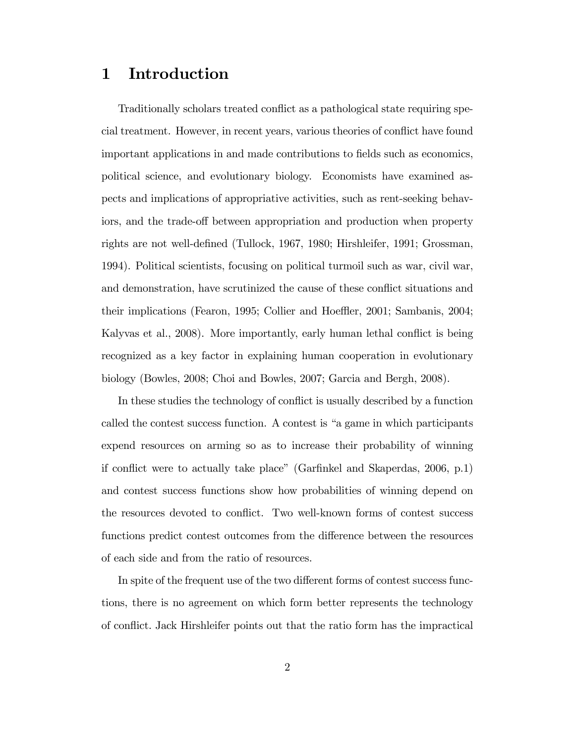### 1 Introduction

Traditionally scholars treated conflict as a pathological state requiring special treatment. However, in recent years, various theories of conáict have found important applications in and made contributions to fields such as economics, political science, and evolutionary biology. Economists have examined aspects and implications of appropriative activities, such as rent-seeking behaviors, and the trade-off between appropriation and production when property rights are not well-defined (Tullock, 1967, 1980; Hirshleifer, 1991; Grossman, 1994). Political scientists, focusing on political turmoil such as war, civil war, and demonstration, have scrutinized the cause of these conflict situations and their implications (Fearon, 1995; Collier and Hoeffler, 2001; Sambanis, 2004; Kalyvas et al., 2008). More importantly, early human lethal conflict is being recognized as a key factor in explaining human cooperation in evolutionary biology (Bowles, 2008; Choi and Bowles, 2007; Garcia and Bergh, 2008).

In these studies the technology of conflict is usually described by a function called the contest success function. A contest is "a game in which participants expend resources on arming so as to increase their probability of winning if conflict were to actually take place" (Garfinkel and Skaperdas,  $2006$ , p.1) and contest success functions show how probabilities of winning depend on the resources devoted to conflict. Two well-known forms of contest success functions predict contest outcomes from the difference between the resources of each side and from the ratio of resources.

In spite of the frequent use of the two different forms of contest success functions, there is no agreement on which form better represents the technology of conflict. Jack Hirshleifer points out that the ratio form has the impractical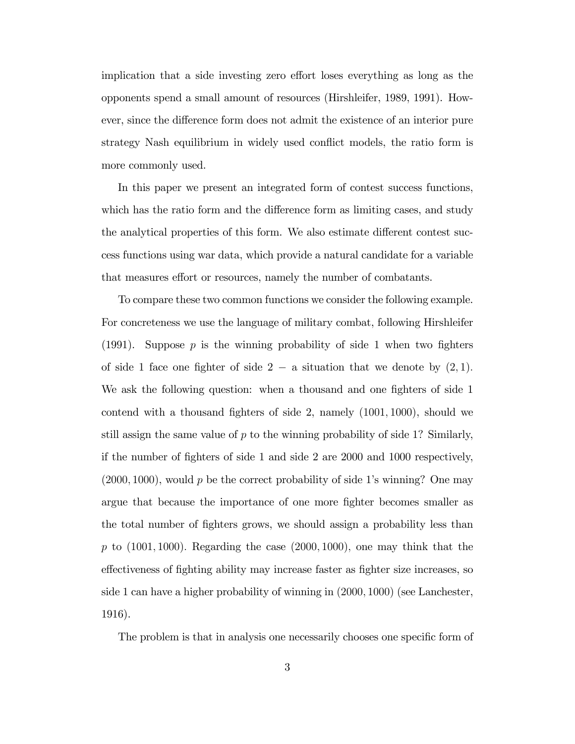implication that a side investing zero effort loses everything as long as the opponents spend a small amount of resources (Hirshleifer, 1989, 1991). However, since the difference form does not admit the existence of an interior pure strategy Nash equilibrium in widely used conflict models, the ratio form is more commonly used.

In this paper we present an integrated form of contest success functions, which has the ratio form and the difference form as limiting cases, and study the analytical properties of this form. We also estimate different contest success functions using war data, which provide a natural candidate for a variable that measures effort or resources, namely the number of combatants.

To compare these two common functions we consider the following example. For concreteness we use the language of military combat, following Hirshleifer (1991). Suppose  $p$  is the winning probability of side 1 when two fighters of side 1 face one fighter of side  $2 - a$  situation that we denote by  $(2, 1)$ . We ask the following question: when a thousand and one fighters of side 1 contend with a thousand fighters of side 2, namely  $(1001, 1000)$ , should we still assign the same value of  $p$  to the winning probability of side 1? Similarly, if the number of Öghters of side 1 and side 2 are 2000 and 1000 respectively,  $(2000, 1000)$ , would p be the correct probability of side 1's winning? One may argue that because the importance of one more fighter becomes smaller as the total number of fighters grows, we should assign a probability less than p to  $(1001, 1000)$ . Regarding the case  $(2000, 1000)$ , one may think that the effectiveness of fighting ability may increase faster as fighter size increases, so side 1 can have a higher probability of winning in (2000; 1000) (see Lanchester, 1916).

The problem is that in analysis one necessarily chooses one specific form of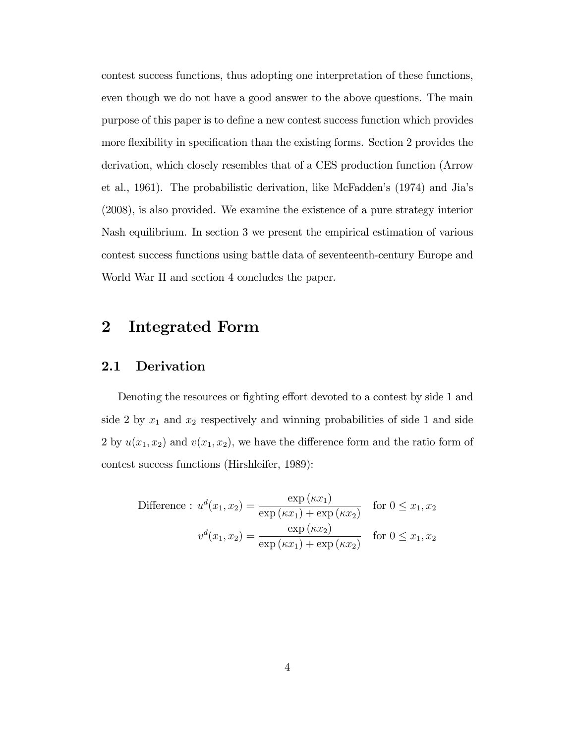contest success functions, thus adopting one interpretation of these functions, even though we do not have a good answer to the above questions. The main purpose of this paper is to define a new contest success function which provides more flexibility in specification than the existing forms. Section 2 provides the derivation, which closely resembles that of a CES production function (Arrow et al., 1961). The probabilistic derivation, like McFaddenís (1974) and Jiaís (2008), is also provided. We examine the existence of a pure strategy interior Nash equilibrium. In section 3 we present the empirical estimation of various contest success functions using battle data of seventeenth-century Europe and World War II and section 4 concludes the paper.

## 2 Integrated Form

#### 2.1 Derivation

Denoting the resources or fighting effort devoted to a contest by side 1 and side 2 by  $x_1$  and  $x_2$  respectively and winning probabilities of side 1 and side 2 by  $u(x_1, x_2)$  and  $v(x_1, x_2)$ , we have the difference form and the ratio form of contest success functions (Hirshleifer, 1989):

$$
\text{Difference}: \ u^d(x_1, x_2) = \frac{\exp\left(\kappa x_1\right)}{\exp\left(\kappa x_1\right) + \exp\left(\kappa x_2\right)} \quad \text{for } 0 \le x_1, x_2
$$
\n
$$
v^d(x_1, x_2) = \frac{\exp\left(\kappa x_2\right)}{\exp\left(\kappa x_1\right) + \exp\left(\kappa x_2\right)} \quad \text{for } 0 \le x_1, x_2
$$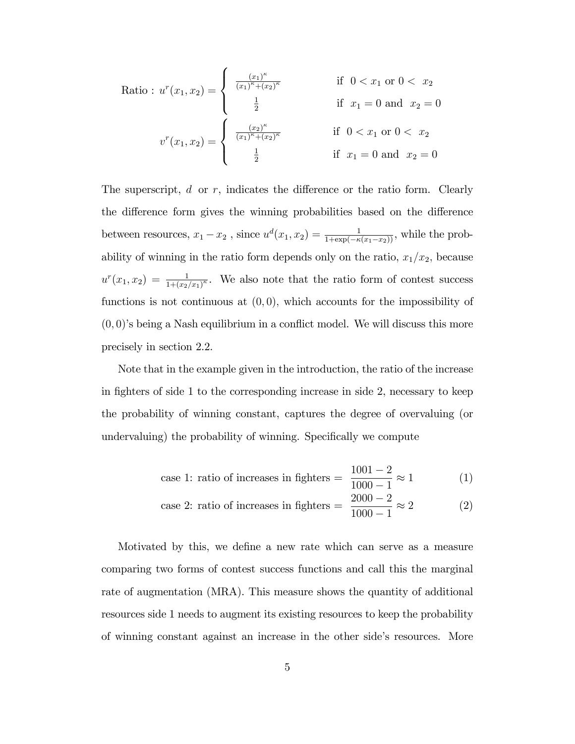Ratio : 
$$
u^r(x_1, x_2) = \begin{cases} \frac{(x_1)^{\kappa}}{(x_1)^{\kappa} + (x_2)^{\kappa}} & \text{if } 0 < x_1 \text{ or } 0 < x_2 \\ \frac{1}{2} & \text{if } x_1 = 0 \text{ and } x_2 = 0 \end{cases}
$$
  

$$
v^r(x_1, x_2) = \begin{cases} \frac{(x_2)^{\kappa}}{(x_1)^{\kappa} + (x_2)^{\kappa}} & \text{if } 0 < x_1 \text{ or } 0 < x_2 \\ \frac{1}{2} & \text{if } x_1 = 0 \text{ and } x_2 = 0 \end{cases}
$$

The superscript,  $d$  or  $r$ , indicates the difference or the ratio form. Clearly the difference form gives the winning probabilities based on the difference between resources,  $x_1 - x_2$ , since  $u^d(x_1, x_2) = \frac{1}{1 + \exp(-\kappa(x_1 - x_2))}$ , while the probability of winning in the ratio form depends only on the ratio,  $x_1/x_2$ , because  $u^{r}(x_1, x_2) = \frac{1}{1 + (x_2/x_1)^{\kappa}}$ . We also note that the ratio form of contest success functions is not continuous at  $(0,0)$ , which accounts for the impossibility of  $(0,0)$ 's being a Nash equilibrium in a conflict model. We will discuss this more precisely in section 2.2.

Note that in the example given in the introduction, the ratio of the increase in fighters of side 1 to the corresponding increase in side 2, necessary to keep the probability of winning constant, captures the degree of overvaluing (or undervaluing) the probability of winning. Specifically we compute

case 1: ratio of increases in fighters 
$$
=
$$
  $\frac{1001 - 2}{1000 - 1} \approx 1$  (1)

case 2: ratio of increases in fighters 
$$
=\frac{2000 - 2}{1000 - 1} \approx 2
$$
 (2)

Motivated by this, we define a new rate which can serve as a measure comparing two forms of contest success functions and call this the marginal rate of augmentation (MRA). This measure shows the quantity of additional resources side 1 needs to augment its existing resources to keep the probability of winning constant against an increase in the other sideís resources. More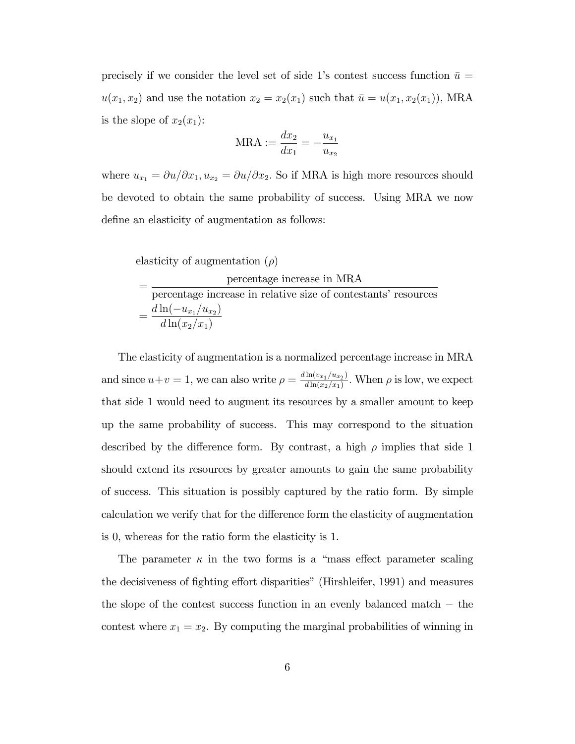precisely if we consider the level set of side 1's contest success function  $\bar{u} =$  $u(x_1, x_2)$  and use the notation  $x_2 = x_2(x_1)$  such that  $\bar{u} = u(x_1, x_2(x_1))$ , MRA is the slope of  $x_2(x_1)$ :

$$
\text{MRA} := \frac{dx_2}{dx_1} = -\frac{u_{x_1}}{u_{x_2}}
$$

where  $u_{x_1} = \partial u/\partial x_1, u_{x_2} = \partial u/\partial x_2$ . So if MRA is high more resources should be devoted to obtain the same probability of success. Using MRA we now define an elasticity of augmentation as follows:

elasticity of augmentation  $(\rho)$ 

| percentage increase in MRA                                     |
|----------------------------------------------------------------|
| percentage increase in relative size of contestants' resources |
| $d\ln(-u_{x_1}/u_{x_2})$                                       |
| $d\ln(x_2/x_1)$                                                |

The elasticity of augmentation is a normalized percentage increase in MRA and since  $u+v=1$ , we can also write  $\rho = \frac{d \ln(v_{x_1}/u_{x_2})}{d \ln(v_{x_2}/v_{x_1})}$  $\frac{\ln(v_{x_1}/u_{x_2})}{d \ln(x_2/x_1)}$ . When  $\rho$  is low, we expect that side 1 would need to augment its resources by a smaller amount to keep up the same probability of success. This may correspond to the situation described by the difference form. By contrast, a high  $\rho$  implies that side 1 should extend its resources by greater amounts to gain the same probability of success. This situation is possibly captured by the ratio form. By simple calculation we verify that for the difference form the elasticity of augmentation is 0, whereas for the ratio form the elasticity is 1.

The parameter  $\kappa$  in the two forms is a "mass effect parameter scaling" the decisiveness of fighting effort disparities" (Hirshleifer, 1991) and measures the slope of the contest success function in an evenly balanced match  $-$  the contest where  $x_1 = x_2$ . By computing the marginal probabilities of winning in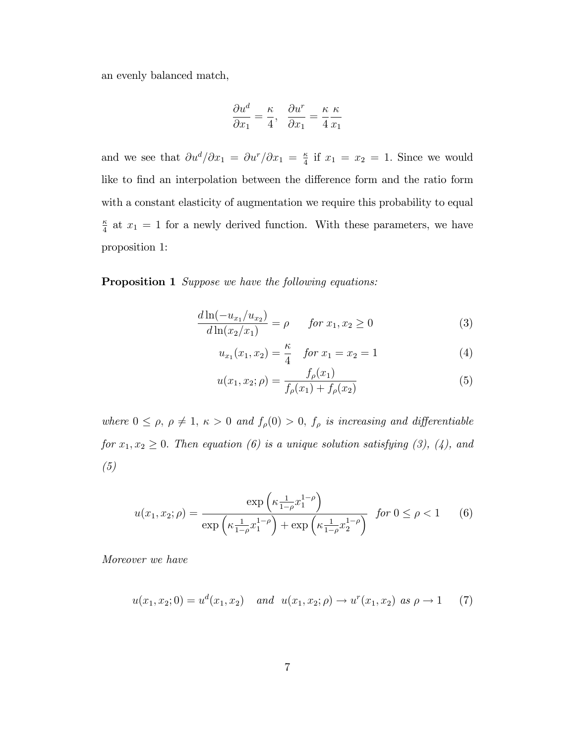an evenly balanced match,

$$
\frac{\partial u^d}{\partial x_1} = \frac{\kappa}{4}, \quad \frac{\partial u^r}{\partial x_1} = \frac{\kappa}{4} \frac{\kappa}{x_1}
$$

and we see that  $\partial u^d/\partial x_1 = \partial u^r/\partial x_1 = \frac{\kappa}{4}$  $\frac{\kappa}{4}$  if  $x_1 = x_2 = 1$ . Since we would like to find an interpolation between the difference form and the ratio form with a constant elasticity of augmentation we require this probability to equal  $\kappa$  $\frac{\kappa}{4}$  at  $x_1 = 1$  for a newly derived function. With these parameters, we have proposition 1:

#### Proposition 1 Suppose we have the following equations:

$$
\frac{d\ln(-u_{x_1}/u_{x_2})}{d\ln(x_2/x_1)} = \rho \qquad \text{for } x_1, x_2 \ge 0 \tag{3}
$$

$$
u_{x_1}(x_1, x_2) = \frac{\kappa}{4} \quad \text{for } x_1 = x_2 = 1 \tag{4}
$$

$$
u(x_1, x_2; \rho) = \frac{f_{\rho}(x_1)}{f_{\rho}(x_1) + f_{\rho}(x_2)}\tag{5}
$$

where  $0 \le \rho, \rho \ne 1, \kappa > 0$  and  $f_{\rho}(0) > 0, f_{\rho}$  is increasing and differentiable for  $x_1, x_2 \geq 0$ . Then equation (6) is a unique solution satisfying (3), (4), and (5)

$$
u(x_1, x_2; \rho) = \frac{\exp\left(\kappa \frac{1}{1-\rho} x_1^{1-\rho}\right)}{\exp\left(\kappa \frac{1}{1-\rho} x_1^{1-\rho}\right) + \exp\left(\kappa \frac{1}{1-\rho} x_2^{1-\rho}\right)} \text{ for } 0 \le \rho < 1 \qquad (6)
$$

Moreover we have

$$
u(x_1, x_2; 0) = u^d(x_1, x_2) \quad and \quad u(x_1, x_2; \rho) \to u^r(x_1, x_2) \text{ as } \rho \to 1 \tag{7}
$$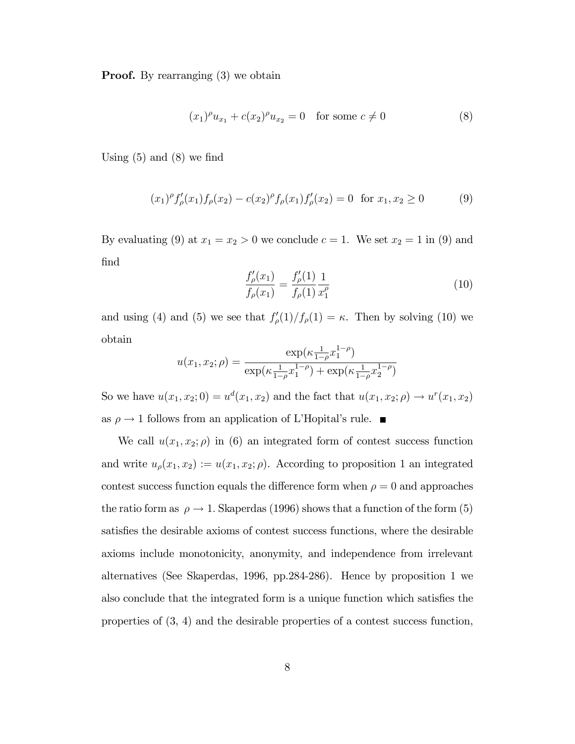**Proof.** By rearranging (3) we obtain

$$
(x_1)^{\rho} u_{x_1} + c(x_2)^{\rho} u_{x_2} = 0 \quad \text{for some } c \neq 0
$$
 (8)

Using  $(5)$  and  $(8)$  we find

$$
(x_1)^{\rho} f_{\rho}'(x_1) f_{\rho}(x_2) - c(x_2)^{\rho} f_{\rho}(x_1) f_{\rho}'(x_2) = 0 \text{ for } x_1, x_2 \ge 0
$$
 (9)

By evaluating (9) at  $x_1 = x_2 > 0$  we conclude  $c = 1$ . We set  $x_2 = 1$  in (9) and find

$$
\frac{f'_{\rho}(x_1)}{f_{\rho}(x_1)} = \frac{f'_{\rho}(1)}{f_{\rho}(1)} \frac{1}{x_1^{\rho}}
$$
\n(10)

and using (4) and (5) we see that  $f'_{\rho}(1)/f_{\rho}(1)=\kappa$ . Then by solving (10) we obtain

$$
u(x_1, x_2; \rho) = \frac{\exp(\kappa \frac{1}{1-\rho} x_1^{1-\rho})}{\exp(\kappa \frac{1}{1-\rho} x_1^{1-\rho}) + \exp(\kappa \frac{1}{1-\rho} x_2^{1-\rho})}
$$

So we have  $u(x_1, x_2; 0) = u^d(x_1, x_2)$  and the fact that  $u(x_1, x_2; \rho) \to u^r(x_1, x_2)$ as  $\rho \to 1$  follows from an application of L'Hopital's rule.

We call  $u(x_1, x_2; \rho)$  in (6) an integrated form of contest success function and write  $u_{\rho}(x_1, x_2) := u(x_1, x_2; \rho)$ . According to proposition 1 an integrated contest success function equals the difference form when  $\rho = 0$  and approaches the ratio form as  $\rho \to 1$ . Skaperdas (1996) shows that a function of the form (5) satisfies the desirable axioms of contest success functions, where the desirable axioms include monotonicity, anonymity, and independence from irrelevant alternatives (See Skaperdas, 1996, pp.284-286). Hence by proposition 1 we also conclude that the integrated form is a unique function which satisfies the properties of (3, 4) and the desirable properties of a contest success function,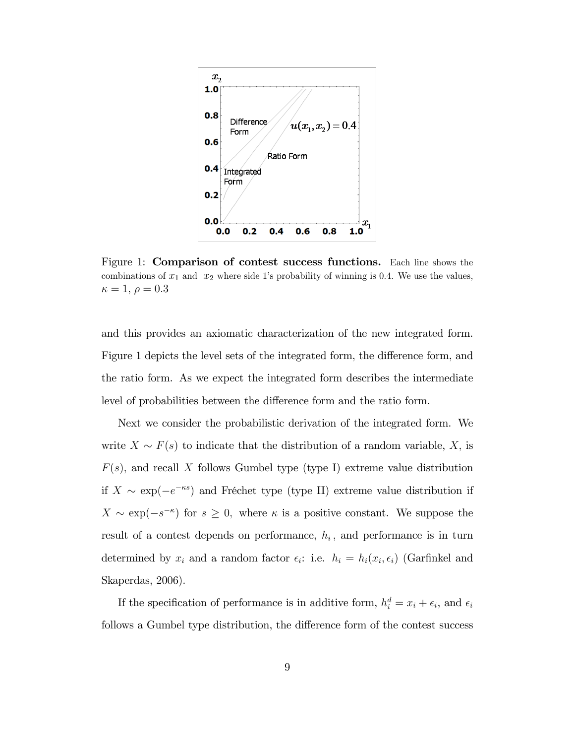

Figure 1: Comparison of contest success functions. Each line shows the combinations of  $x_1$  and  $x_2$  where side 1's probability of winning is 0.4. We use the values,  $\kappa = 1, \, \rho = 0.3$ 

and this provides an axiomatic characterization of the new integrated form. Figure 1 depicts the level sets of the integrated form, the difference form, and the ratio form. As we expect the integrated form describes the intermediate level of probabilities between the difference form and the ratio form.

Next we consider the probabilistic derivation of the integrated form. We write  $X \sim F(s)$  to indicate that the distribution of a random variable, X, is  $F(s)$ , and recall X follows Gumbel type (type I) extreme value distribution if  $X \sim \exp(-e^{-\kappa s})$  and Fréchet type (type II) extreme value distribution if  $X \sim \exp(-s^{-\kappa})$  for  $s \geq 0$ , where  $\kappa$  is a positive constant. We suppose the result of a contest depends on performance,  $h_i$ , and performance is in turn determined by  $x_i$  and a random factor  $\epsilon_i$ : i.e.  $h_i = h_i(x_i, \epsilon_i)$  (Garfinkel and Skaperdas, 2006).

If the specification of performance is in additive form,  $h_i^d = x_i + \epsilon_i$ , and  $\epsilon_i$ follows a Gumbel type distribution, the difference form of the contest success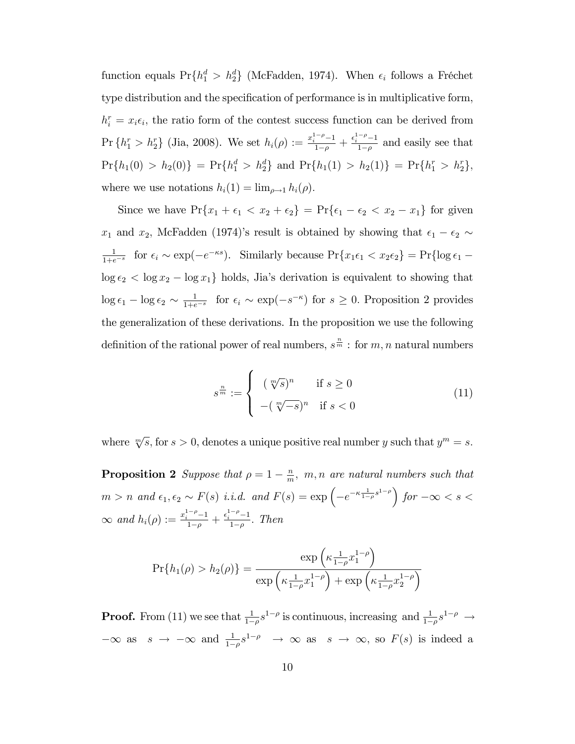function equals  $Pr{h_1^d > h_2^d}$  (McFadden, 1974). When  $\epsilon_i$  follows a Fréchet type distribution and the specification of performance is in multiplicative form,  $h_i^r = x_i \epsilon_i$ , the ratio form of the contest success function can be derived from  $\Pr\{h_1^r > h_2^r\}$  (Jia, 2008). We set  $h_i(\rho) := \frac{x_i^{1-\rho}-1}{1-\rho} + \frac{\epsilon_i^{1-\rho}-1}{1-\rho}$  $\frac{1}{1-\rho}$  and easily see that  $Pr\{h_1(0) > h_2(0)\} = Pr\{h_1^d > h_2^d\}$  and  $Pr\{h_1(1) > h_2(1)\} = Pr\{h_1^r > h_2^r\}$ , where we use notations  $h_i(1) = \lim_{\rho \to 1} h_i(\rho)$ 

Since we have  $Pr{x_1 + \epsilon_1 < x_2 + \epsilon_2} = Pr{\epsilon_1 - \epsilon_2 < x_2 - x_1}$  for given  $x_1$  and  $x_2$ , McFadden (1974)'s result is obtained by showing that  $\epsilon_1 - \epsilon_2 \sim$ 1  $\frac{1}{1+e^{-s}}$  for  $\epsilon_i \sim \exp(-e^{-\kappa s})$ . Similarly because  $\Pr\{x_1\epsilon_1 < x_2\epsilon_2\} = \Pr\{\log \epsilon_1 - \epsilon_2\}$  $\log \epsilon_2 < \log x_2 - \log x_1$  holds, Jia's derivation is equivalent to showing that  $\log \epsilon_1 - \log \epsilon_2 \sim \frac{1}{1+e}$  $\frac{1}{1+e^{-s}}$  for  $\epsilon_i \sim \exp(-s^{-\kappa})$  for  $s \geq 0$ . Proposition 2 provides the generalization of these derivations. In the proposition we use the following definition of the rational power of real numbers,  $s^{\frac{n}{m}}$  : for  $m, n$  natural numbers

$$
s^{\frac{n}{m}} := \begin{cases} (\sqrt[m/s)^n & \text{if } s \ge 0 \\ -(\sqrt[m/s]{-s})^n & \text{if } s < 0 \end{cases}
$$
 (11)

where  $\sqrt[m]{s}$ , for  $s > 0$ , denotes a unique positive real number y such that  $y^m = s$ .

**Proposition 2** Suppose that  $\rho = 1 - \frac{n}{m}$  $\frac{n}{m}$ , m, n are natural numbers such that  $m > n$  and  $\epsilon_1, \epsilon_2 \sim F(s)$  i.i.d. and  $F(s) = \exp\left(-e^{-\kappa \frac{1}{1-\rho} s^{1-\rho}}\right)$  for  $-\infty < s <$  $\infty$  and  $h_i(\rho) := \frac{x_i^{1-\rho}-1}{1-\rho} + \frac{\epsilon_i^{1-\rho}-1}{1-\rho}$  $\frac{-1}{1-\rho}$ . Then

$$
Pr{h_1(\rho) > h_2(\rho)} = \frac{\exp\left(\kappa \frac{1}{1-\rho} x_1^{1-\rho}\right)}{\exp\left(\kappa \frac{1}{1-\rho} x_1^{1-\rho}\right) + \exp\left(\kappa \frac{1}{1-\rho} x_2^{1-\rho}\right)}
$$

**Proof.** From (11) we see that  $\frac{1}{1-\rho}s^{1-\rho}$  is continuous, increasing and  $\frac{1}{1-\rho}s^{1-\rho} \to$  $-\infty$  as  $s \to -\infty$  and  $\frac{1}{1-\rho}s^{1-\rho} \to \infty$  as  $s \to \infty$ , so  $F(s)$  is indeed a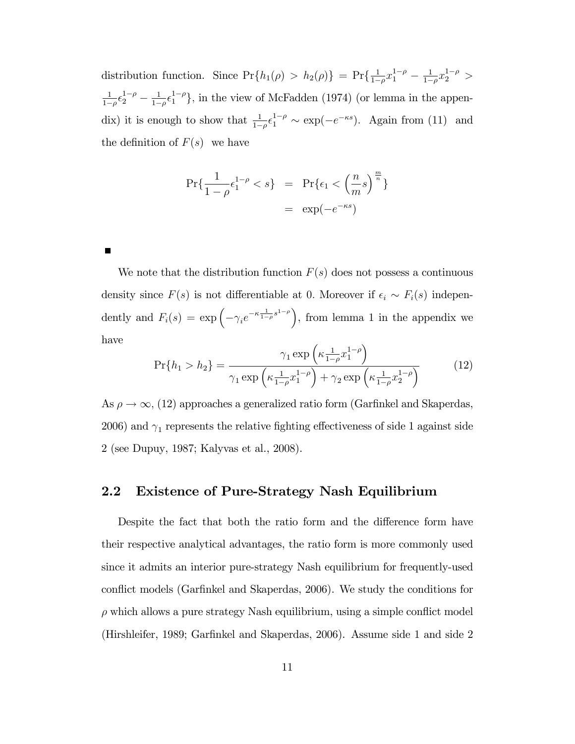distribution function. Since  $Pr\{h_1(\rho) > h_2(\rho)\} = Pr\{\frac{1}{1-\rho}\}$  $\frac{1}{1-\rho}x_1^{1-\rho} - \frac{1}{1-\rho}$  $\frac{1}{1-\rho}x_2^{1-\rho} >$ 1  $\frac{1}{1-\rho} \epsilon_2^{1-\rho} - \frac{1}{1-\rho}$  $\frac{1}{1-\rho} \epsilon_1^{1-\rho}$ , in the view of McFadden (1974) (or lemma in the appendix) it is enough to show that  $\frac{1}{1-\rho} \epsilon_1^{1-\rho} \sim \exp(-e^{-\kappa s})$ . Again from (11) and the definition of  $F(s)$  we have

$$
\Pr\{\frac{1}{1-\rho}\epsilon_1^{1-\rho} < s\} = \Pr\{\epsilon_1 < \left(\frac{n}{m}s\right)^{\frac{m}{n}}\} \\
= \exp(-e^{-\kappa s})
$$

We note that the distribution function  $F(s)$  does not possess a continuous density since  $F(s)$  is not differentiable at 0. Moreover if  $\epsilon_i \sim F_i(s)$  independently and  $F_i(s) = \exp\left(-\gamma_i e^{-\kappa \frac{1}{1-\rho} s^{1-\rho}}\right)$ , from lemma 1 in the appendix we have

$$
\Pr\{h_1 > h_2\} = \frac{\gamma_1 \exp\left(\kappa \frac{1}{1-\rho} x_1^{1-\rho}\right)}{\gamma_1 \exp\left(\kappa \frac{1}{1-\rho} x_1^{1-\rho}\right) + \gamma_2 \exp\left(\kappa \frac{1}{1-\rho} x_2^{1-\rho}\right)}\tag{12}
$$

As  $\rho \to \infty$ , (12) approaches a generalized ratio form (Garfinkel and Skaperdas, 2006) and  $\gamma_1$  represents the relative fighting effectiveness of side 1 against side 2 (see Dupuy, 1987; Kalyvas et al., 2008).

#### 2.2 Existence of Pure-Strategy Nash Equilibrium

Despite the fact that both the ratio form and the difference form have their respective analytical advantages, the ratio form is more commonly used since it admits an interior pure-strategy Nash equilibrium for frequently-used conflict models (Garfinkel and Skaperdas, 2006). We study the conditions for  $\rho$  which allows a pure strategy Nash equilibrium, using a simple conflict model (Hirshleifer, 1989; Garfinkel and Skaperdas, 2006). Assume side 1 and side 2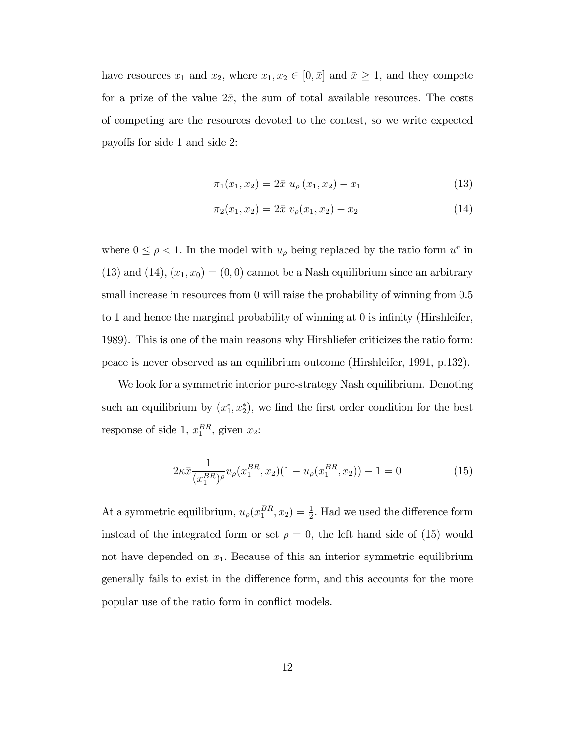have resources  $x_1$  and  $x_2$ , where  $x_1, x_2 \in [0, \bar{x}]$  and  $\bar{x} \ge 1$ , and they compete for a prize of the value  $2\bar{x}$ , the sum of total available resources. The costs of competing are the resources devoted to the contest, so we write expected payo§s for side 1 and side 2:

$$
\pi_1(x_1, x_2) = 2\bar{x} \ u_{\rho}(x_1, x_2) - x_1 \tag{13}
$$

$$
\pi_2(x_1, x_2) = 2\bar{x} \ v_{\rho}(x_1, x_2) - x_2 \tag{14}
$$

where  $0 \leq \rho < 1$ . In the model with  $u_{\rho}$  being replaced by the ratio form  $u^{r}$  in (13) and (14),  $(x_1, x_0) = (0, 0)$  cannot be a Nash equilibrium since an arbitrary small increase in resources from 0 will raise the probability of winning from  $0.5$ to 1 and hence the marginal probability of winning at 0 is infinity (Hirshleifer, 1989). This is one of the main reasons why Hirshliefer criticizes the ratio form: peace is never observed as an equilibrium outcome (Hirshleifer, 1991, p.132).

We look for a symmetric interior pure-strategy Nash equilibrium. Denoting such an equilibrium by  $(x_1^*, x_2^*)$ , we find the first order condition for the best response of side 1,  $x_1^{BR}$ , given  $x_2$ :

$$
2\kappa \bar{x} \frac{1}{(x_1^{BR})^{\rho}} u_{\rho}(x_1^{BR}, x_2)(1 - u_{\rho}(x_1^{BR}, x_2)) - 1 = 0 \tag{15}
$$

At a symmetric equilibrium,  $u_{\rho}(x_1^{BR}, x_2) = \frac{1}{2}$ . Had we used the difference form instead of the integrated form or set  $\rho = 0$ , the left hand side of (15) would not have depended on  $x_1$ . Because of this an interior symmetric equilibrium generally fails to exist in the difference form, and this accounts for the more popular use of the ratio form in conflict models.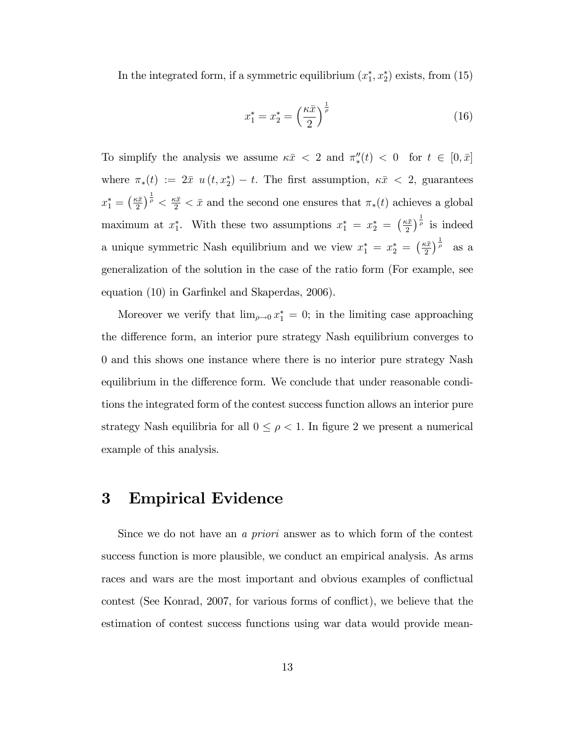In the integrated form, if a symmetric equilibrium  $(x_1^*, x_2^*)$  exists, from (15)

$$
x_1^* = x_2^* = \left(\frac{\kappa \bar{x}}{2}\right)^{\frac{1}{\rho}}
$$
 (16)

To simplify the analysis we assume  $\kappa \bar{x} < 2$  and  $\pi''_*(t) < 0$  for  $t \in [0, \bar{x}]$ where  $\pi_*(t) := 2\bar{x} \ u(t, x_2^*) - t$ . The first assumption,  $\kappa \bar{x} < 2$ , guarantees  $x_1^* = \left(\frac{\kappa \bar{x}}{2}\right)$  $\frac{(\bar{x})}{2}$   $\frac{1}{\rho}$   $\lt \frac{\kappa \bar{x}}{2}$   $\lt \bar{x}$  and the second one ensures that  $\pi_*(t)$  achieves a global maximum at  $x_1^*$ . With these two assumptions  $x_1^* = x_2^* = \left(\frac{\kappa \bar{x}}{2}\right)$  $\left(\frac{\alpha\bar{x}}{2}\right)^{\frac{1}{\rho}}$  is indeed a unique symmetric Nash equilibrium and we view  $x_1^* = x_2^* = \left(\frac{\kappa \bar{x}}{2}\right)$  $\left(\frac{i\bar{x}}{2}\right)^{\frac{1}{\rho}}$  as a generalization of the solution in the case of the ratio form (For example, see equation (10) in Garfinkel and Skaperdas, 2006).

Moreover we verify that  $\lim_{\rho \to 0} x_1^* = 0$ ; in the limiting case approaching the difference form, an interior pure strategy Nash equilibrium converges to 0 and this shows one instance where there is no interior pure strategy Nash equilibrium in the difference form. We conclude that under reasonable conditions the integrated form of the contest success function allows an interior pure strategy Nash equilibria for all  $0 \leq \rho < 1$ . In figure 2 we present a numerical example of this analysis.

### 3 Empirical Evidence

Since we do not have an a priori answer as to which form of the contest success function is more plausible, we conduct an empirical analysis. As arms races and wars are the most important and obvious examples of conflictual contest (See Konrad, 2007, for various forms of conflict), we believe that the estimation of contest success functions using war data would provide mean-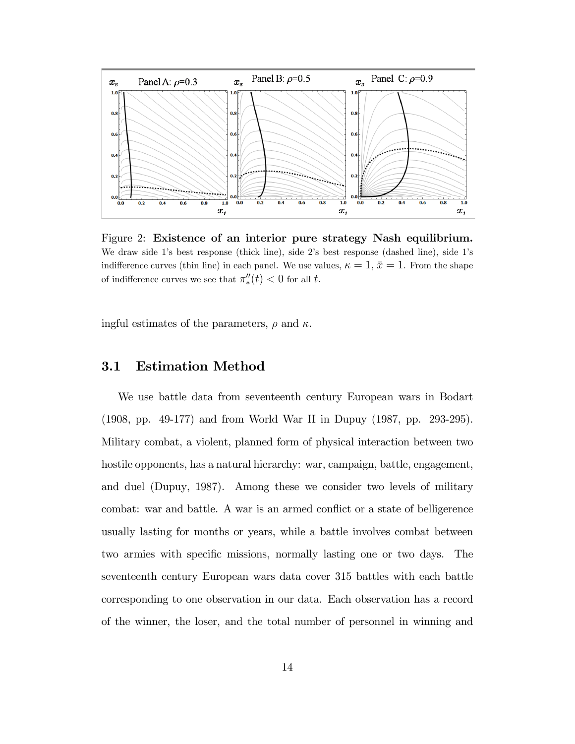

Figure 2: Existence of an interior pure strategy Nash equilibrium. We draw side 1's best response (thick line), side 2's best response (dashed line), side 1's indifference curves (thin line) in each panel. We use values,  $\kappa = 1, \bar{x} = 1$ . From the shape of indifference curves we see that  $\pi''_*(t) < 0$  for all t.

ingful estimates of the parameters,  $\rho$  and  $\kappa$ .

#### 3.1 Estimation Method

We use battle data from seventeenth century European wars in Bodart (1908, pp. 49-177) and from World War II in Dupuy (1987, pp. 293-295). Military combat, a violent, planned form of physical interaction between two hostile opponents, has a natural hierarchy: war, campaign, battle, engagement, and duel (Dupuy, 1987). Among these we consider two levels of military combat: war and battle. A war is an armed conflict or a state of belligerence usually lasting for months or years, while a battle involves combat between two armies with specific missions, normally lasting one or two days. The seventeenth century European wars data cover 315 battles with each battle corresponding to one observation in our data. Each observation has a record of the winner, the loser, and the total number of personnel in winning and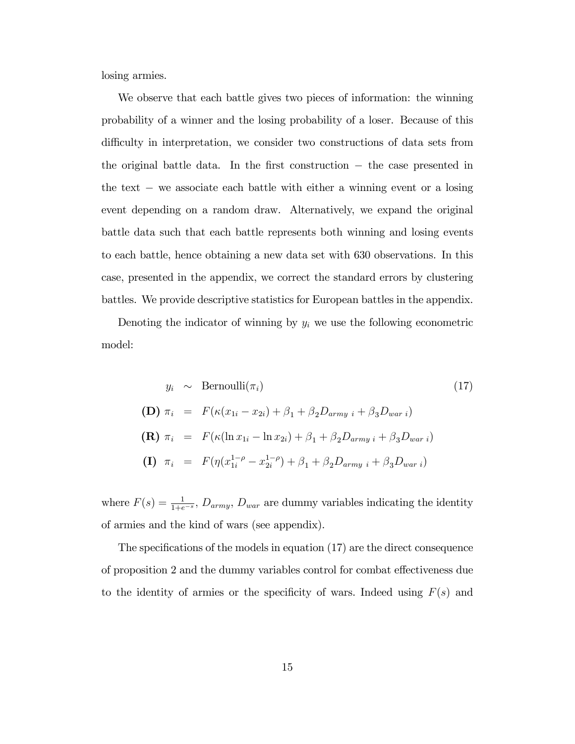losing armies.

We observe that each battle gives two pieces of information: the winning probability of a winner and the losing probability of a loser. Because of this difficulty in interpretation, we consider two constructions of data sets from the original battle data. In the first construction  $-$  the case presented in the text  $-$  we associate each battle with either a winning event or a losing event depending on a random draw. Alternatively, we expand the original battle data such that each battle represents both winning and losing events to each battle, hence obtaining a new data set with 630 observations. In this case, presented in the appendix, we correct the standard errors by clustering battles. We provide descriptive statistics for European battles in the appendix.

Denoting the indicator of winning by  $y_i$  we use the following econometric model:

$$
y_i \sim \text{Bernoulli}(\pi_i)
$$
\n
$$
\textbf{(D)} \ \pi_i = F(\kappa(x_{1i} - x_{2i}) + \beta_1 + \beta_2 D_{army} \ i + \beta_3 D_{war} \ i)
$$
\n
$$
\textbf{(R)} \ \pi_i = F(\kappa(\ln x_{1i} - \ln x_{2i}) + \beta_1 + \beta_2 D_{army} \ i + \beta_3 D_{war} \ i)
$$
\n
$$
\textbf{(I)} \ \pi_i = F(\eta(x_{1i}^{1-\rho} - x_{2i}^{1-\rho}) + \beta_1 + \beta_2 D_{army} \ i + \beta_3 D_{war} \ i)
$$
\n
$$
\textbf{(I)} \ \pi_i = F(\eta(x_{1i}^{1-\rho} - x_{2i}^{1-\rho}) + \beta_1 + \beta_2 D_{army} \ i + \beta_3 D_{war} \ i)
$$
\n
$$
\text{(II)} \ \pi_i = F(\eta(x_{1i}^{1-\rho} - x_{2i}^{1-\rho}) + \beta_1 + \beta_2 D_{army} \ i + \beta_3 D_{war} \ i)
$$
\n
$$
\text{-(II)} \ \pi_i = F(\eta(x_{1i}^{1-\rho} - x_{2i}^{1-\rho}) + \beta_1 + \beta_2 D_{army} \ i + \beta_3 D_{war} \ i)
$$
\n
$$
\text{-(III)} \ \pi_i = F(\eta(x_{1i}^{1-\rho} - x_{2i}^{1-\rho}) + \beta_1 + \beta_2 D_{army} \ i + \beta_3 D_{war} \ i)
$$
\n
$$
\text{-(III)} \ \pi_i = F(\kappa(x_{1i} - x_{2i}) + \beta_1 + \beta_2 D_{army} \ i + \beta_3 D_{war} \ i)
$$

where  $F(s) = \frac{1}{1+e^{-s}}$ ,  $D_{army}$ ,  $D_{war}$  are dummy variables indicating the identity of armies and the kind of wars (see appendix).

The specifications of the models in equation  $(17)$  are the direct consequence of proposition 2 and the dummy variables control for combat effectiveness due to the identity of armies or the specificity of wars. Indeed using  $F(s)$  and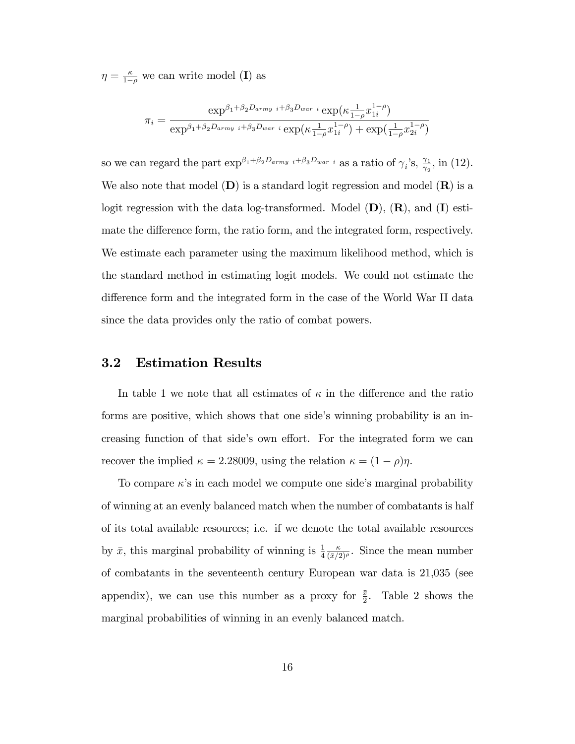$\eta = \frac{\kappa}{1-\rho}$  we can write model (I) as

$$
\pi_i = \frac{\exp^{\beta_1 + \beta_2 D_{army} i + \beta_3 D_{war} i} \exp(\kappa \frac{1}{1 - \rho} x_{1i}^{1 - \rho})}{\exp^{\beta_1 + \beta_2 D_{army} i + \beta_3 D_{war} i} \exp(\kappa \frac{1}{1 - \rho} x_{1i}^{1 - \rho}) + \exp(\frac{1}{1 - \rho} x_{2i}^{1 - \rho})}
$$

so we can regard the part  $\exp^{\beta_1+\beta_2D_{army}i+\beta_3D_{war}i}$  as a ratio of  $\gamma_i$ 's,  $\frac{\gamma_1}{\gamma_2}$  $\frac{\gamma_1}{\gamma_2}$ , in (12). We also note that model  $(D)$  is a standard logit regression and model  $(R)$  is a logit regression with the data log-transformed. Model  $(D)$ ,  $(R)$ , and  $(I)$  estimate the difference form, the ratio form, and the integrated form, respectively. We estimate each parameter using the maximum likelihood method, which is the standard method in estimating logit models. We could not estimate the difference form and the integrated form in the case of the World War II data since the data provides only the ratio of combat powers.

#### 3.2 Estimation Results

In table 1 we note that all estimates of  $\kappa$  in the difference and the ratio forms are positive, which shows that one side's winning probability is an increasing function of that side's own effort. For the integrated form we can recover the implied  $\kappa = 2.28009$ , using the relation  $\kappa = (1 - \rho)\eta$ .

To compare  $\kappa$ 's in each model we compute one side's marginal probability of winning at an evenly balanced match when the number of combatants is half of its total available resources; i.e. if we denote the total available resources by  $\bar{x}$ , this marginal probability of winning is  $\frac{1}{4}$  $\frac{\kappa}{(\bar{x}/2)^{\rho}}$ . Since the mean number of combatants in the seventeenth century European war data is 21,035 (see appendix), we can use this number as a proxy for  $\frac{\bar{x}}{2}$ . Table 2 shows the marginal probabilities of winning in an evenly balanced match.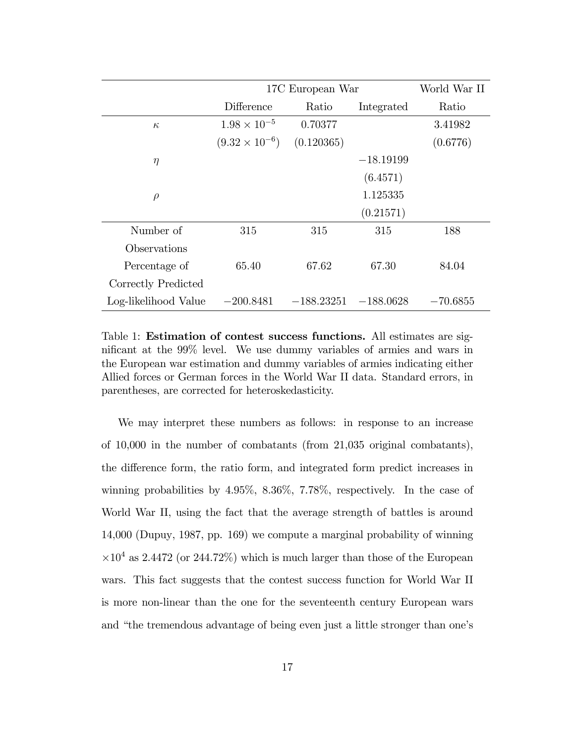|                      | 17C European War        | World War II |             |            |
|----------------------|-------------------------|--------------|-------------|------------|
|                      | Difference              | Ratio        | Integrated  | Ratio      |
| $\kappa$             | $1.98 \times 10^{-5}$   | 0.70377      |             | 3.41982    |
|                      | $(9.32 \times 10^{-6})$ | (0.120365)   |             | (0.6776)   |
| $\eta$               |                         |              | $-18.19199$ |            |
|                      |                         |              | (6.4571)    |            |
| $\rho$               |                         |              | 1.125335    |            |
|                      |                         |              | (0.21571)   |            |
| Number of            | 315                     | 315          | 315         | 188        |
| Observations         |                         |              |             |            |
| Percentage of        | 65.40                   | 67.62        | 67.30       | 84.04      |
| Correctly Predicted  |                         |              |             |            |
| Log-likelihood Value | $-200.8481$             | $-188.23251$ | $-188.0628$ | $-70.6855$ |

Table 1: Estimation of contest success functions. All estimates are significant at the 99% level. We use dummy variables of armies and wars in the European war estimation and dummy variables of armies indicating either Allied forces or German forces in the World War II data. Standard errors, in parentheses, are corrected for heteroskedasticity.

We may interpret these numbers as follows: in response to an increase of 10,000 in the number of combatants (from 21,035 original combatants), the difference form, the ratio form, and integrated form predict increases in winning probabilities by 4.95%, 8.36%, 7.78%, respectively. In the case of World War II, using the fact that the average strength of battles is around 14,000 (Dupuy, 1987, pp. 169) we compute a marginal probability of winning  $\times 10^4$  as 2.4472 (or 244.72%) which is much larger than those of the European wars. This fact suggests that the contest success function for World War II is more non-linear than the one for the seventeenth century European wars and "the tremendous advantage of being even just a little stronger than one's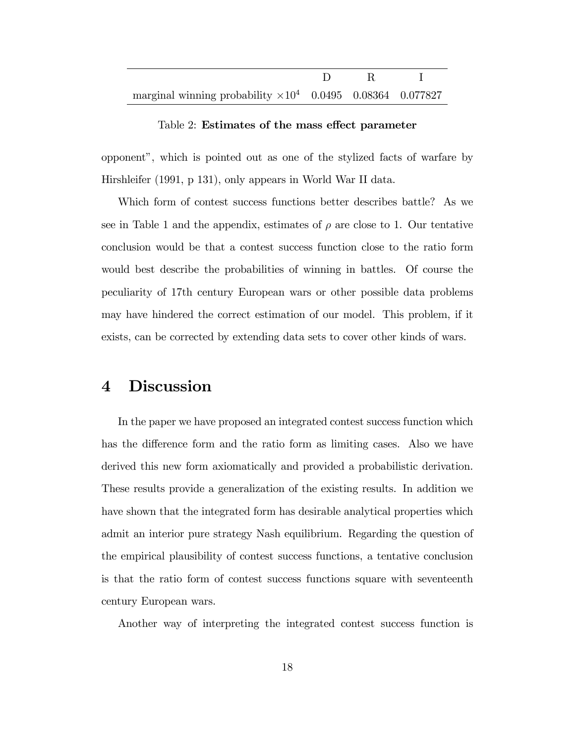| marginal winning probability $\times 10^4$ 0.0495 0.08364 0.077827 |  |  |
|--------------------------------------------------------------------|--|--|

#### Table 2: Estimates of the mass effect parameter

opponentî, which is pointed out as one of the stylized facts of warfare by Hirshleifer (1991, p 131), only appears in World War II data.

Which form of contest success functions better describes battle? As we see in Table 1 and the appendix, estimates of  $\rho$  are close to 1. Our tentative conclusion would be that a contest success function close to the ratio form would best describe the probabilities of winning in battles. Of course the peculiarity of 17th century European wars or other possible data problems may have hindered the correct estimation of our model. This problem, if it exists, can be corrected by extending data sets to cover other kinds of wars.

## 4 Discussion

In the paper we have proposed an integrated contest success function which has the difference form and the ratio form as limiting cases. Also we have derived this new form axiomatically and provided a probabilistic derivation. These results provide a generalization of the existing results. In addition we have shown that the integrated form has desirable analytical properties which admit an interior pure strategy Nash equilibrium. Regarding the question of the empirical plausibility of contest success functions, a tentative conclusion is that the ratio form of contest success functions square with seventeenth century European wars.

Another way of interpreting the integrated contest success function is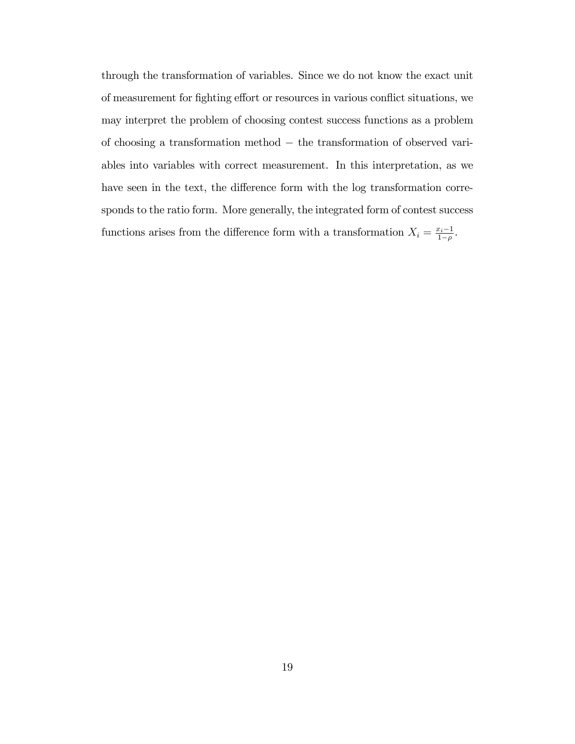through the transformation of variables. Since we do not know the exact unit of measurement for fighting effort or resources in various conflict situations, we may interpret the problem of choosing contest success functions as a problem of choosing a transformation method  $-$  the transformation of observed variables into variables with correct measurement. In this interpretation, as we have seen in the text, the difference form with the log transformation corresponds to the ratio form. More generally, the integrated form of contest success functions arises from the difference form with a transformation  $X_i = \frac{x_i-1}{1-a}$  $\frac{r_i-1}{1-\rho}$ .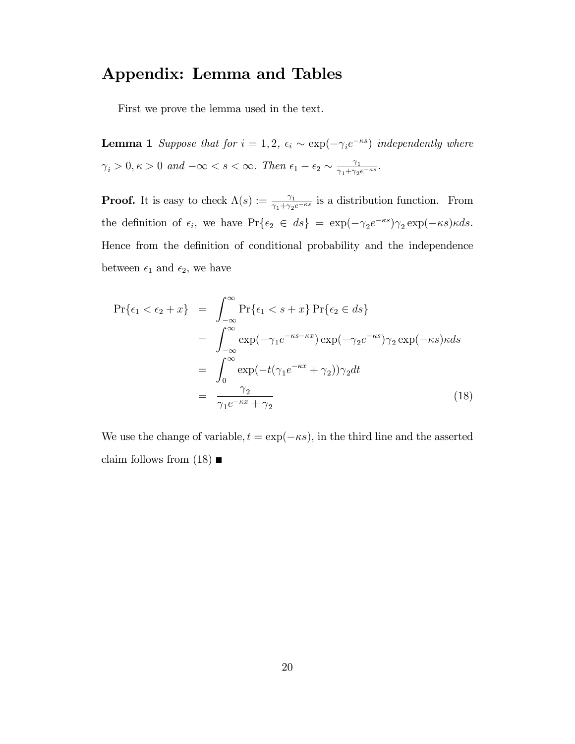## Appendix: Lemma and Tables

First we prove the lemma used in the text.

**Lemma 1** Suppose that for  $i = 1, 2, \epsilon_i \sim \exp(-\gamma_i e^{-\kappa s})$  independently where  $\gamma_i > 0, \kappa > 0$  and  $-\infty < s < \infty$ . Then  $\epsilon_1 - \epsilon_2 \sim \frac{\gamma_1}{\gamma_1 + \gamma_2}$  $\frac{\gamma_1}{\gamma_1+\gamma_2e^{-\kappa s}}.$ 

**Proof.** It is easy to check  $\Lambda(s) := \frac{\gamma_1}{\gamma_1 + \gamma_2 e^{-\kappa s}}$  is a distribution function. From the definition of  $\epsilon_i$ , we have  $\Pr{\epsilon_2 \in ds} = \exp(-\gamma_2 e^{-\kappa s})\gamma_2 \exp(-\kappa s)\kappa ds$ . Hence from the definition of conditional probability and the independence between  $\epsilon_1$  and  $\epsilon_2$ , we have

$$
\Pr\{\epsilon_1 < \epsilon_2 + x\} = \int_{-\infty}^{\infty} \Pr\{\epsilon_1 < s + x\} \Pr\{\epsilon_2 \in ds\}
$$
\n
$$
= \int_{-\infty}^{\infty} \exp(-\gamma_1 e^{-\kappa s - \kappa x}) \exp(-\gamma_2 e^{-\kappa s}) \gamma_2 \exp(-\kappa s) \kappa ds
$$
\n
$$
= \int_{0}^{\infty} \exp(-t(\gamma_1 e^{-\kappa x} + \gamma_2)) \gamma_2 dt
$$
\n
$$
= \frac{\gamma_2}{\gamma_1 e^{-\kappa x} + \gamma_2} \tag{18}
$$

We use the change of variable,  $t = \exp(-\kappa s)$ , in the third line and the asserted claim follows from  $(18)$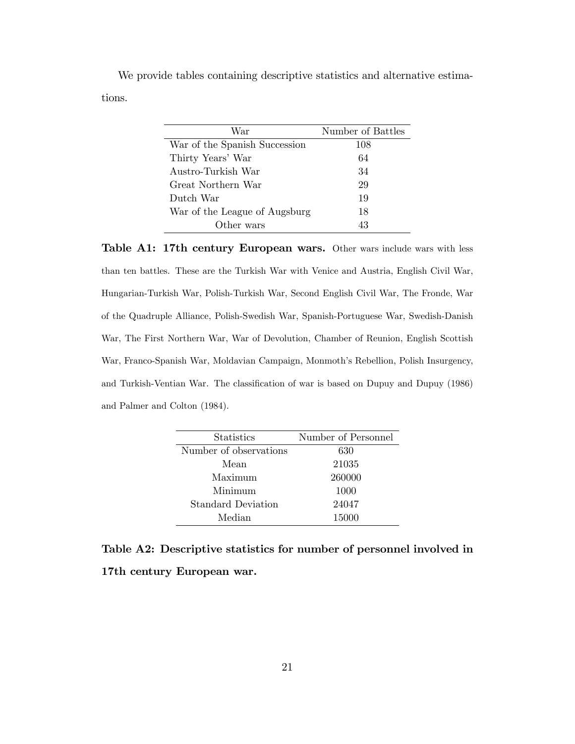We provide tables containing descriptive statistics and alternative estimations.

| War                           | Number of Battles |
|-------------------------------|-------------------|
| War of the Spanish Succession | 108               |
| Thirty Years' War             | 64                |
| Austro-Turkish War            | 34                |
| Great Northern War            | 29                |
| Dutch War                     | 19                |
| War of the League of Augsburg | 18                |
| Other wars                    | 43                |

Table A1: 17th century European wars. Other wars include wars with less than ten battles. These are the Turkish War with Venice and Austria, English Civil War, Hungarian-Turkish War, Polish-Turkish War, Second English Civil War, The Fronde, War of the Quadruple Alliance, Polish-Swedish War, Spanish-Portuguese War, Swedish-Danish War, The First Northern War, War of Devolution, Chamber of Reunion, English Scottish War, Franco-Spanish War, Moldavian Campaign, Monmoth's Rebellion, Polish Insurgency, and Turkish-Ventian War. The classification of war is based on Dupuy and Dupuy (1986) and Palmer and Colton (1984).

| <b>Statistics</b>         | Number of Personnel |
|---------------------------|---------------------|
| Number of observations    | 630                 |
| Mean                      | 21035               |
| Maximum                   | 260000              |
| Minimum                   | 1000                |
| <b>Standard Deviation</b> | 24047               |
| Median                    | 15000               |

Table A2: Descriptive statistics for number of personnel involved in 17th century European war.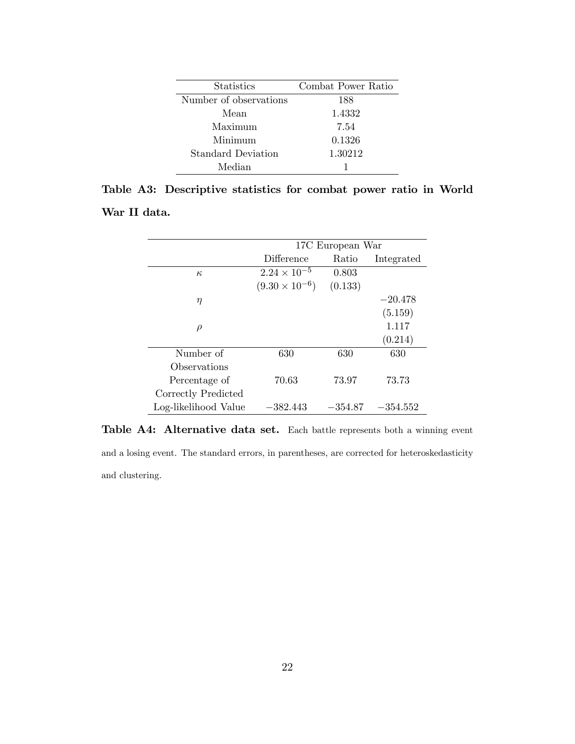| <b>Statistics</b>      | Combat Power Ratio |
|------------------------|--------------------|
| Number of observations | 188                |
| Mean                   | 1.4332             |
| Maximum                | 7.54               |
| Minimum                | 0.1326             |
| Standard Deviation     | 1.30212            |
| Median                 |                    |

|              | Table A3: Descriptive statistics for combat power ratio in World |  |  |  |  |
|--------------|------------------------------------------------------------------|--|--|--|--|
| War II data. |                                                                  |  |  |  |  |

|                      | 17C European War        |           |            |  |  |  |
|----------------------|-------------------------|-----------|------------|--|--|--|
|                      | Difference              | Ratio     | Integrated |  |  |  |
| $\kappa$             | $2.24 \times 10^{-5}$   | 0.803     |            |  |  |  |
|                      | $(9.30 \times 10^{-6})$ | (0.133)   |            |  |  |  |
| η                    |                         |           | $-20.478$  |  |  |  |
|                      |                         |           | (5.159)    |  |  |  |
| $\rho$               |                         |           | 1.117      |  |  |  |
|                      |                         |           | (0.214)    |  |  |  |
| Number of            | 630                     | 630       | 630        |  |  |  |
| Observations         |                         |           |            |  |  |  |
| Percentage of        | 70.63                   | 73.97     | 73.73      |  |  |  |
| Correctly Predicted  |                         |           |            |  |  |  |
| Log-likelihood Value | $-382.443\,$            | $-354.87$ | $-354.552$ |  |  |  |

Table A4: Alternative data set. Each battle represents both a winning event and a losing event. The standard errors, in parentheses, are corrected for heteroskedasticity and clustering.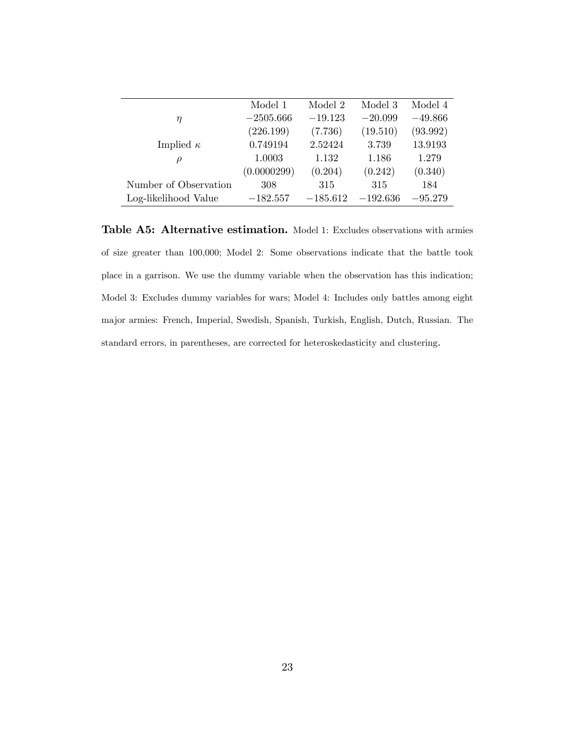| Model 4   |
|-----------|
|           |
| $-49.866$ |
| (93.992)  |
| 13.9193   |
| 1.279     |
| (0.340)   |
| 184       |
| $-95.279$ |
|           |

Table A5: Alternative estimation. Model 1: Excludes observations with armies of size greater than 100,000; Model 2: Some observations indicate that the battle took place in a garrison. We use the dummy variable when the observation has this indication; Model 3: Excludes dummy variables for wars; Model 4: Includes only battles among eight major armies: French, Imperial, Swedish, Spanish, Turkish, English, Dutch, Russian. The standard errors, in parentheses, are corrected for heteroskedasticity and clustering.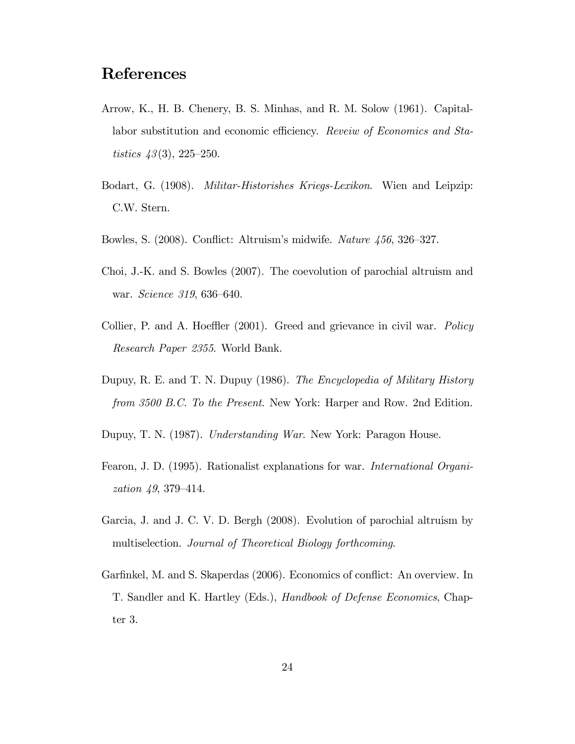## References

- Arrow, K., H. B. Chenery, B. S. Minhas, and R. M. Solow (1961). Capitallabor substitution and economic efficiency. Reveiw of Economics and Statistics  $43(3)$ , 225–250.
- Bodart, G. (1908). Militar-Historishes Kriegs-Lexikon. Wien and Leipzip: C.W. Stern.
- Bowles, S. (2008). Conflict: Altruism's midwife. Nature  $456$ , 326–327.
- Choi, J.-K. and S. Bowles (2007). The coevolution of parochial altruism and war. *Science* 319, 636–640.
- Collier, P. and A. Hoeffler  $(2001)$ . Greed and grievance in civil war. *Policy* Research Paper 2355. World Bank.
- Dupuy, R. E. and T. N. Dupuy (1986). The Encyclopedia of Military History from 3500 B.C. To the Present. New York: Harper and Row. 2nd Edition.
- Dupuy, T. N. (1987). Understanding War. New York: Paragon House.
- Fearon, J. D. (1995). Rationalist explanations for war. International Organization  $49, 379 - 414$ .
- Garcia, J. and J. C. V. D. Bergh (2008). Evolution of parochial altruism by multiselection. Journal of Theoretical Biology forthcoming.
- Garfinkel, M. and S. Skaperdas (2006). Economics of conflict: An overview. In T. Sandler and K. Hartley (Eds.), Handbook of Defense Economics, Chapter 3.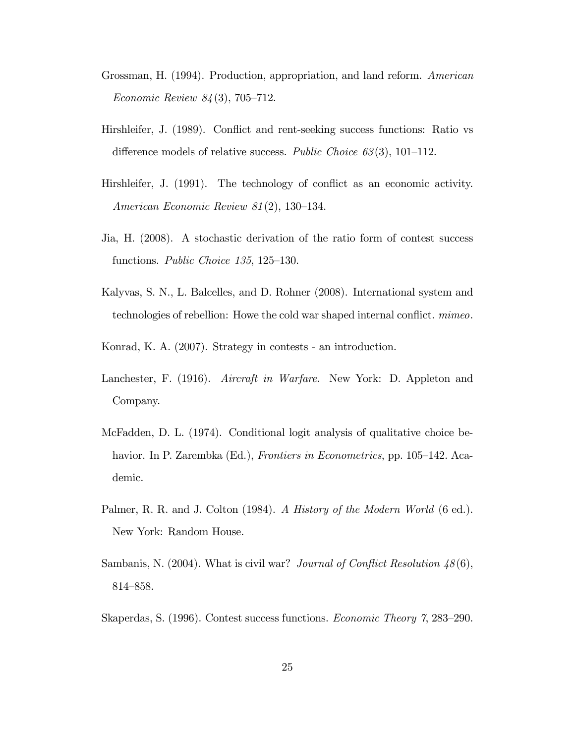- Grossman, H. (1994). Production, appropriation, and land reform. American Economic Review  $84(3)$ , 705–712.
- Hirshleifer, J. (1989). Conflict and rent-seeking success functions: Ratio vs difference models of relative success. Public Choice  $63(3)$ , 101–112.
- Hirshleifer, J. (1991). The technology of conflict as an economic activity. American Economic Review  $81(2)$ , 130–134.
- Jia, H. (2008). A stochastic derivation of the ratio form of contest success functions. Public Choice  $135$ ,  $125-130$ .
- Kalyvas, S. N., L. Balcelles, and D. Rohner (2008). International system and technologies of rebellion: Howe the cold war shaped internal conflict. *mimeo*.
- Konrad, K. A. (2007). Strategy in contests an introduction.
- Lanchester, F. (1916). Aircraft in Warfare. New York: D. Appleton and Company.
- McFadden, D. L. (1974). Conditional logit analysis of qualitative choice behavior. In P. Zarembka (Ed.), Frontiers in Econometrics, pp. 105-142. Academic.
- Palmer, R. R. and J. Colton (1984). A History of the Modern World (6 ed.). New York: Random House.
- Sambanis, N. (2004). What is civil war? Journal of Conflict Resolution  $48(6)$ , 814–858.
- Skaperdas, S. (1996). Contest success functions. *Economic Theory 7*, 283–290.